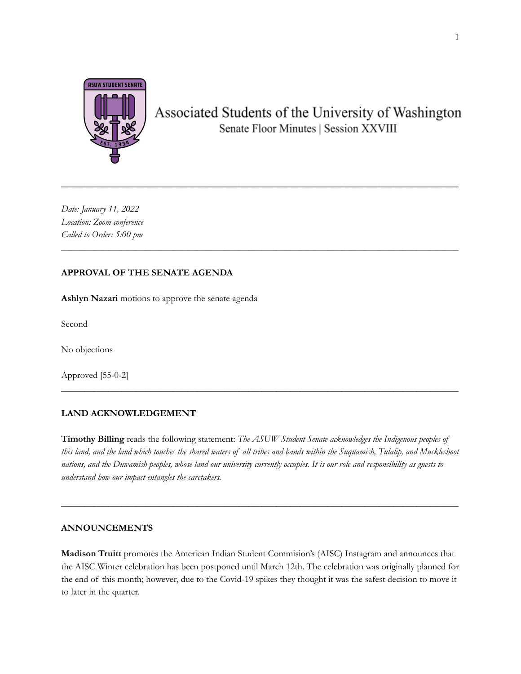

# Associated Students of the University of Washington Senate Floor Minutes | Session XXVIII

*Date: January 11, 2022 Location: Zoom conference Called to Order: 5:00 pm*

### **APPROVAL OF THE SENATE AGENDA**

**Ashlyn Nazari** motions to approve the senate agenda

Second

No objections

Approved [55-0-2]

### **LAND ACKNOWLEDGEMENT**

**Timothy Billing** reads the following statement: *The ASUW Student Senate acknowledges the Indigenous peoples of* this land, and the land which touches the shared waters of all tribes and bands within the Suquamish, Tulalip, and Muckleshoot nations, and the Duwamish peoples, whose land our university currently occupies. It is our role and responsibility as guests to *understand how our impact entangles the caretakers.*

**\_\_\_\_\_\_\_\_\_\_\_\_\_\_\_\_\_\_\_\_\_\_\_\_\_\_\_\_\_\_\_\_\_\_\_\_\_\_\_\_\_\_\_\_\_\_\_\_\_\_\_\_\_\_\_\_\_\_\_\_\_\_\_\_\_\_\_\_\_\_\_\_\_\_\_\_\_\_\_\_\_\_\_\_\_**

**\_\_\_\_\_\_\_\_\_\_\_\_\_\_\_\_\_\_\_\_\_\_\_\_\_\_\_\_\_\_\_\_\_\_\_\_\_\_\_\_\_\_\_\_\_\_\_\_\_\_\_\_\_\_\_\_\_\_\_\_\_\_\_\_\_\_\_\_\_\_\_\_\_\_\_\_\_\_\_\_\_\_\_\_\_**

\_\_\_\_\_\_\_\_\_\_\_\_\_\_\_\_\_\_\_\_\_\_\_\_\_\_\_\_\_\_\_\_\_\_\_\_\_\_\_\_\_\_\_\_\_\_\_\_\_\_\_\_\_\_\_\_\_\_\_\_\_\_\_\_\_\_\_\_\_\_\_\_\_\_\_\_\_\_\_\_\_\_\_\_\_

*\_\_\_\_\_\_\_\_\_\_\_\_\_\_\_\_\_\_\_\_\_\_\_\_\_\_\_\_\_\_\_\_\_\_\_\_\_\_\_\_\_\_\_\_\_\_\_\_\_\_\_\_\_\_\_\_\_\_\_\_\_\_\_\_\_\_\_\_\_\_\_\_\_\_\_\_\_\_\_\_\_\_\_\_\_*

### **ANNOUNCEMENTS**

**Madison Truitt** promotes the American Indian Student Commision's (AISC) Instagram and announces that the AISC Winter celebration has been postponed until March 12th. The celebration was originally planned for the end of this month; however, due to the Covid-19 spikes they thought it was the safest decision to move it to later in the quarter.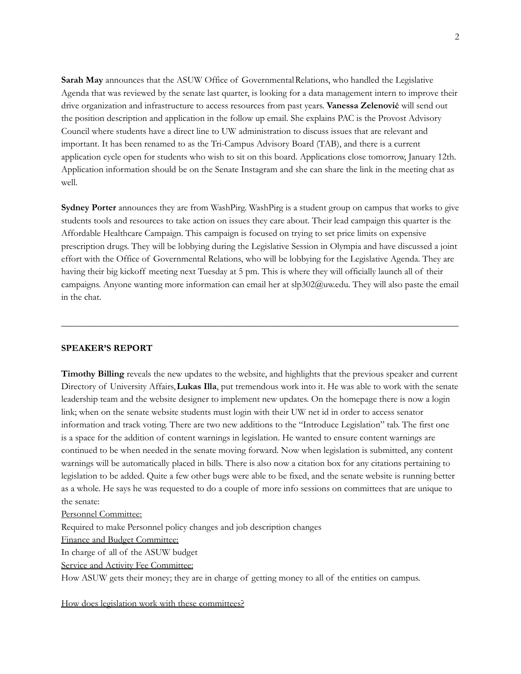**Sarah May** announces that the ASUW Office of GovernmentalRelations, who handled the Legislative Agenda that was reviewed by the senate last quarter, is looking for a data management intern to improve their drive organization and infrastructure to access resources from past years. **Vanessa Zelenović** will send out the position description and application in the follow up email. She explains PAC is the Provost Advisory Council where students have a direct line to UW administration to discuss issues that are relevant and important. It has been renamed to as the Tri-Campus Advisory Board (TAB), and there is a current application cycle open for students who wish to sit on this board. Applications close tomorrow, January 12th. Application information should be on the Senate Instagram and she can share the link in the meeting chat as well.

**Sydney Porter** announces they are from WashPirg. WashPirg is a student group on campus that works to give students tools and resources to take action on issues they care about. Their lead campaign this quarter is the Affordable Healthcare Campaign. This campaign is focused on trying to set price limits on expensive prescription drugs. They will be lobbying during the Legislative Session in Olympia and have discussed a joint effort with the Office of Governmental Relations, who will be lobbying for the Legislative Agenda. They are having their big kickoff meeting next Tuesday at 5 pm. This is where they will officially launch all of their campaigns. Anyone wanting more information can email her at slp302@uw.edu. They will also paste the email in the chat.

**\_\_\_\_\_\_\_\_\_\_\_\_\_\_\_\_\_\_\_\_\_\_\_\_\_\_\_\_\_\_\_\_\_\_\_\_\_\_\_\_\_\_\_\_\_\_\_\_\_\_\_\_\_\_\_\_\_\_\_\_\_\_\_\_\_\_\_\_\_\_\_\_\_\_\_\_\_\_\_\_\_\_\_\_\_**

#### **SPEAKER'S REPORT**

**Timothy Billing** reveals the new updates to the website, and highlights that the previous speaker and current Directory of University Affairs,**Lukas Illa**, put tremendous work into it. He was able to work with the senate leadership team and the website designer to implement new updates. On the homepage there is now a login link; when on the senate website students must login with their UW net id in order to access senator information and track voting. There are two new additions to the "Introduce Legislation" tab. The first one is a space for the addition of content warnings in legislation. He wanted to ensure content warnings are continued to be when needed in the senate moving forward. Now when legislation is submitted, any content warnings will be automatically placed in bills. There is also now a citation box for any citations pertaining to legislation to be added. Quite a few other bugs were able to be fixed, and the senate website is running better as a whole. He says he was requested to do a couple of more info sessions on committees that are unique to the senate:

Personnel Committee:

Required to make Personnel policy changes and job description changes

Finance and Budget Committee:

In charge of all of the ASUW budget

Service and Activity Fee Committee:

How ASUW gets their money; they are in charge of getting money to all of the entities on campus.

How does legislation work with these committees?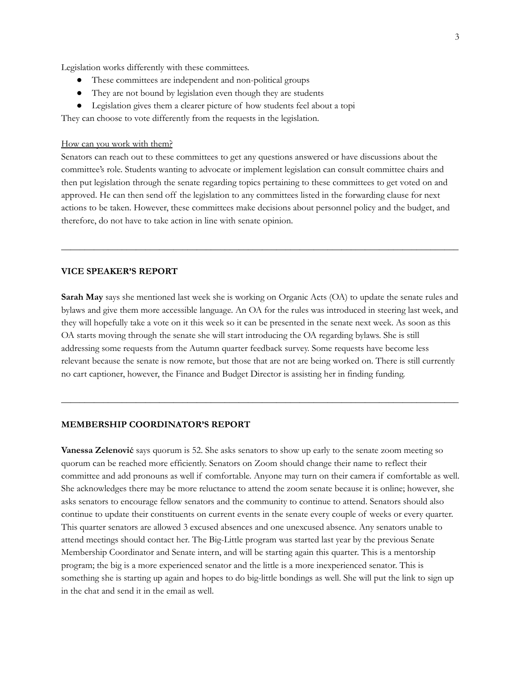Legislation works differently with these committees.

- These committees are independent and non-political groups
- They are not bound by legislation even though they are students
- Legislation gives them a clearer picture of how students feel about a topi

They can choose to vote differently from the requests in the legislation.

#### How can you work with them?

Senators can reach out to these committees to get any questions answered or have discussions about the committee's role. Students wanting to advocate or implement legislation can consult committee chairs and then put legislation through the senate regarding topics pertaining to these committees to get voted on and approved. He can then send off the legislation to any committees listed in the forwarding clause for next actions to be taken. However, these committees make decisions about personnel policy and the budget, and therefore, do not have to take action in line with senate opinion.

**\_\_\_\_\_\_\_\_\_\_\_\_\_\_\_\_\_\_\_\_\_\_\_\_\_\_\_\_\_\_\_\_\_\_\_\_\_\_\_\_\_\_\_\_\_\_\_\_\_\_\_\_\_\_\_\_\_\_\_\_\_\_\_\_\_\_\_\_\_\_\_\_\_\_\_\_\_\_\_\_\_\_\_\_\_**

### **VICE SPEAKER'S REPORT**

**Sarah May** says she mentioned last week she is working on Organic Acts (OA) to update the senate rules and bylaws and give them more accessible language. An OA for the rules was introduced in steering last week, and they will hopefully take a vote on it this week so it can be presented in the senate next week. As soon as this OA starts moving through the senate she will start introducing the OA regarding bylaws. She is still addressing some requests from the Autumn quarter feedback survey. Some requests have become less relevant because the senate is now remote, but those that are not are being worked on. There is still currently no cart captioner, however, the Finance and Budget Director is assisting her in finding funding.

**\_\_\_\_\_\_\_\_\_\_\_\_\_\_\_\_\_\_\_\_\_\_\_\_\_\_\_\_\_\_\_\_\_\_\_\_\_\_\_\_\_\_\_\_\_\_\_\_\_\_\_\_\_\_\_\_\_\_\_\_\_\_\_\_\_\_\_\_\_\_\_\_\_\_\_\_\_\_\_\_\_\_\_\_\_**

#### **MEMBERSHIP COORDINATOR'S REPORT**

**Vanessa Zelenović** says quorum is 52. She asks senators to show up early to the senate zoom meeting so quorum can be reached more efficiently. Senators on Zoom should change their name to reflect their committee and add pronouns as well if comfortable. Anyone may turn on their camera if comfortable as well. She acknowledges there may be more reluctance to attend the zoom senate because it is online; however, she asks senators to encourage fellow senators and the community to continue to attend. Senators should also continue to update their constituents on current events in the senate every couple of weeks or every quarter. This quarter senators are allowed 3 excused absences and one unexcused absence. Any senators unable to attend meetings should contact her. The Big-Little program was started last year by the previous Senate Membership Coordinator and Senate intern, and will be starting again this quarter. This is a mentorship program; the big is a more experienced senator and the little is a more inexperienced senator. This is something she is starting up again and hopes to do big-little bondings as well. She will put the link to sign up in the chat and send it in the email as well.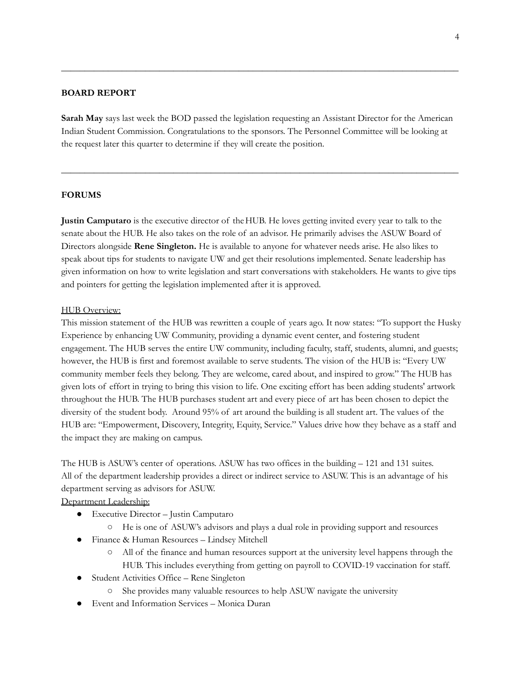### **BOARD REPORT**

**Sarah May** says last week the BOD passed the legislation requesting an Assistant Director for the American Indian Student Commission. Congratulations to the sponsors. The Personnel Committee will be looking at the request later this quarter to determine if they will create the position.

**\_\_\_\_\_\_\_\_\_\_\_\_\_\_\_\_\_\_\_\_\_\_\_\_\_\_\_\_\_\_\_\_\_\_\_\_\_\_\_\_\_\_\_\_\_\_\_\_\_\_\_\_\_\_\_\_\_\_\_\_\_\_\_\_\_\_\_\_\_\_\_\_\_\_\_\_\_\_\_\_\_\_\_\_\_**

**\_\_\_\_\_\_\_\_\_\_\_\_\_\_\_\_\_\_\_\_\_\_\_\_\_\_\_\_\_\_\_\_\_\_\_\_\_\_\_\_\_\_\_\_\_\_\_\_\_\_\_\_\_\_\_\_\_\_\_\_\_\_\_\_\_\_\_\_\_\_\_\_\_\_\_\_\_\_\_\_\_\_\_\_\_**

### **FORUMS**

**Justin Camputaro** is the executive director of theHUB. He loves getting invited every year to talk to the senate about the HUB. He also takes on the role of an advisor. He primarily advises the ASUW Board of Directors alongside **Rene Singleton.** He is available to anyone for whatever needs arise. He also likes to speak about tips for students to navigate UW and get their resolutions implemented. Senate leadership has given information on how to write legislation and start conversations with stakeholders. He wants to give tips and pointers for getting the legislation implemented after it is approved.

#### HUB Overview:

This mission statement of the HUB was rewritten a couple of years ago. It now states: "To support the Husky Experience by enhancing UW Community, providing a dynamic event center, and fostering student engagement. The HUB serves the entire UW community, including faculty, staff, students, alumni, and guests; however, the HUB is first and foremost available to serve students. The vision of the HUB is: "Every UW community member feels they belong. They are welcome, cared about, and inspired to grow." The HUB has given lots of effort in trying to bring this vision to life. One exciting effort has been adding students' artwork throughout the HUB. The HUB purchases student art and every piece of art has been chosen to depict the diversity of the student body. Around 95% of art around the building is all student art. The values of the HUB are: "Empowerment, Discovery, Integrity, Equity, Service." Values drive how they behave as a staff and the impact they are making on campus.

The HUB is ASUW's center of operations. ASUW has two offices in the building – 121 and 131 suites. All of the department leadership provides a direct or indirect service to ASUW. This is an advantage of his department serving as advisors for ASUW.

### Department Leadership:

- Executive Director Justin Camputaro
	- He is one of ASUW's advisors and plays a dual role in providing support and resources
- Finance & Human Resources Lindsey Mitchell
	- All of the finance and human resources support at the university level happens through the HUB. This includes everything from getting on payroll to COVID-19 vaccination for staff.
- Student Activities Office Rene Singleton
	- She provides many valuable resources to help ASUW navigate the university
- Event and Information Services Monica Duran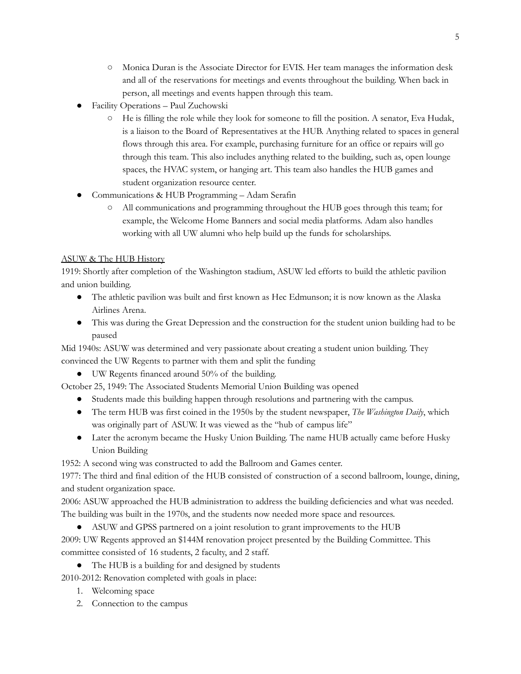- Monica Duran is the Associate Director for EVIS. Her team manages the information desk and all of the reservations for meetings and events throughout the building. When back in person, all meetings and events happen through this team.
- Facility Operations Paul Zuchowski
	- He is filling the role while they look for someone to fill the position. A senator, Eva Hudak, is a liaison to the Board of Representatives at the HUB. Anything related to spaces in general flows through this area. For example, purchasing furniture for an office or repairs will go through this team. This also includes anything related to the building, such as, open lounge spaces, the HVAC system, or hanging art. This team also handles the HUB games and student organization resource center.
- Communications & HUB Programming Adam Serafin
	- All communications and programming throughout the HUB goes through this team; for example, the Welcome Home Banners and social media platforms. Adam also handles working with all UW alumni who help build up the funds for scholarships.

# ASUW & The HUB History

1919: Shortly after completion of the Washington stadium, ASUW led efforts to build the athletic pavilion and union building.

- The athletic pavilion was built and first known as Hec Edmunson; it is now known as the Alaska Airlines Arena.
- This was during the Great Depression and the construction for the student union building had to be paused

Mid 1940s: ASUW was determined and very passionate about creating a student union building. They convinced the UW Regents to partner with them and split the funding

● UW Regents financed around 50% of the building.

October 25, 1949: The Associated Students Memorial Union Building was opened

- Students made this building happen through resolutions and partnering with the campus.
- The term HUB was first coined in the 1950s by the student newspaper, *The Washington Daily*, which was originally part of ASUW. It was viewed as the "hub of campus life"
- Later the acronym became the Husky Union Building. The name HUB actually came before Husky Union Building

1952: A second wing was constructed to add the Ballroom and Games center.

1977: The third and final edition of the HUB consisted of construction of a second ballroom, lounge, dining, and student organization space.

2006: ASUW approached the HUB administration to address the building deficiencies and what was needed. The building was built in the 1970s, and the students now needed more space and resources.

● ASUW and GPSS partnered on a joint resolution to grant improvements to the HUB

2009: UW Regents approved an \$144M renovation project presented by the Building Committee. This committee consisted of 16 students, 2 faculty, and 2 staff.

● The HUB is a building for and designed by students

2010-2012: Renovation completed with goals in place:

- 1. Welcoming space
- 2. Connection to the campus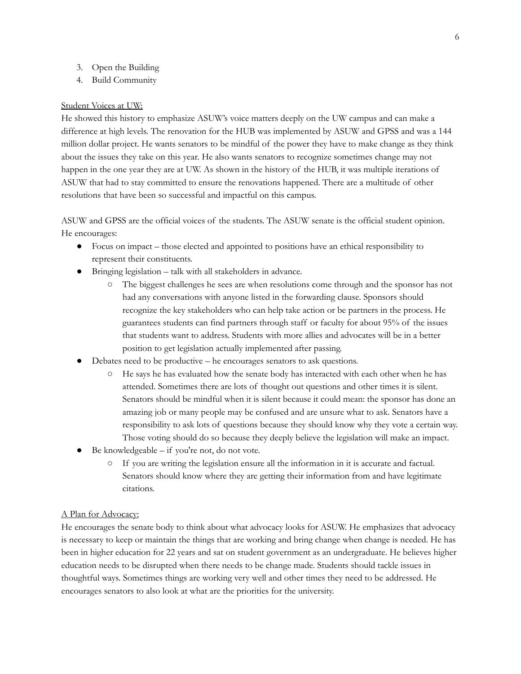- 3. Open the Building
- 4. Build Community

#### Student Voices at UW:

He showed this history to emphasize ASUW's voice matters deeply on the UW campus and can make a difference at high levels. The renovation for the HUB was implemented by ASUW and GPSS and was a 144 million dollar project. He wants senators to be mindful of the power they have to make change as they think about the issues they take on this year. He also wants senators to recognize sometimes change may not happen in the one year they are at UW. As shown in the history of the HUB, it was multiple iterations of ASUW that had to stay committed to ensure the renovations happened. There are a multitude of other resolutions that have been so successful and impactful on this campus.

ASUW and GPSS are the official voices of the students. The ASUW senate is the official student opinion. He encourages:

- Focus on impact those elected and appointed to positions have an ethical responsibility to represent their constituents.
- Bringing legislation talk with all stakeholders in advance.
	- The biggest challenges he sees are when resolutions come through and the sponsor has not had any conversations with anyone listed in the forwarding clause. Sponsors should recognize the key stakeholders who can help take action or be partners in the process. He guarantees students can find partners through staff or faculty for about 95% of the issues that students want to address. Students with more allies and advocates will be in a better position to get legislation actually implemented after passing.
- Debates need to be productive he encourages senators to ask questions.
	- He says he has evaluated how the senate body has interacted with each other when he has attended. Sometimes there are lots of thought out questions and other times it is silent. Senators should be mindful when it is silent because it could mean: the sponsor has done an amazing job or many people may be confused and are unsure what to ask. Senators have a responsibility to ask lots of questions because they should know why they vote a certain way. Those voting should do so because they deeply believe the legislation will make an impact.
- Be knowledgeable  $-$  if you're not, do not vote.
	- If you are writing the legislation ensure all the information in it is accurate and factual. Senators should know where they are getting their information from and have legitimate citations.

#### A Plan for Advocacy:

He encourages the senate body to think about what advocacy looks for ASUW. He emphasizes that advocacy is necessary to keep or maintain the things that are working and bring change when change is needed. He has been in higher education for 22 years and sat on student government as an undergraduate. He believes higher education needs to be disrupted when there needs to be change made. Students should tackle issues in thoughtful ways. Sometimes things are working very well and other times they need to be addressed. He encourages senators to also look at what are the priorities for the university.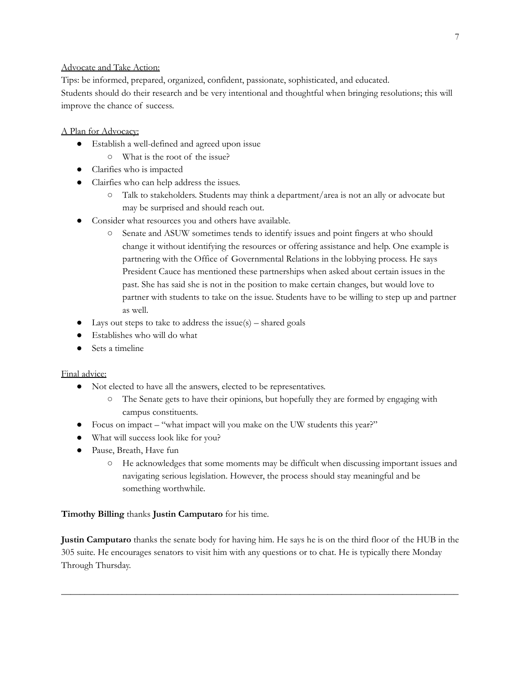# Advocate and Take Action:

Tips: be informed, prepared, organized, confident, passionate, sophisticated, and educated. Students should do their research and be very intentional and thoughtful when bringing resolutions; this will improve the chance of success.

# A Plan for Advocacy:

- Establish a well-defined and agreed upon issue
	- What is the root of the issue?
- Clarifies who is impacted
- Clairfies who can help address the issues.
	- Talk to stakeholders. Students may think a department/area is not an ally or advocate but may be surprised and should reach out.
- Consider what resources you and others have available.
	- Senate and ASUW sometimes tends to identify issues and point fingers at who should change it without identifying the resources or offering assistance and help. One example is partnering with the Office of Governmental Relations in the lobbying process. He says President Cauce has mentioned these partnerships when asked about certain issues in the past. She has said she is not in the position to make certain changes, but would love to partner with students to take on the issue. Students have to be willing to step up and partner as well.
- $\bullet$  Lays out steps to take to address the issue(s) shared goals
- Establishes who will do what
- Sets a timeline

### Final advice:

- Not elected to have all the answers, elected to be representatives.
	- The Senate gets to have their opinions, but hopefully they are formed by engaging with campus constituents.
- Focus on impact "what impact will you make on the UW students this year?"
- What will success look like for you?
- Pause, Breath, Have fun
	- He acknowledges that some moments may be difficult when discussing important issues and navigating serious legislation. However, the process should stay meaningful and be something worthwhile.

### **Timothy Billing** thanks **Justin Camputaro** for his time.

**Justin Camputaro** thanks the senate body for having him. He says he is on the third floor of the HUB in the 305 suite. He encourages senators to visit him with any questions or to chat. He is typically there Monday Through Thursday.

**\_\_\_\_\_\_\_\_\_\_\_\_\_\_\_\_\_\_\_\_\_\_\_\_\_\_\_\_\_\_\_\_\_\_\_\_\_\_\_\_\_\_\_\_\_\_\_\_\_\_\_\_\_\_\_\_\_\_\_\_\_\_\_\_\_\_\_\_\_\_\_\_\_\_\_\_\_\_\_\_\_\_\_\_\_**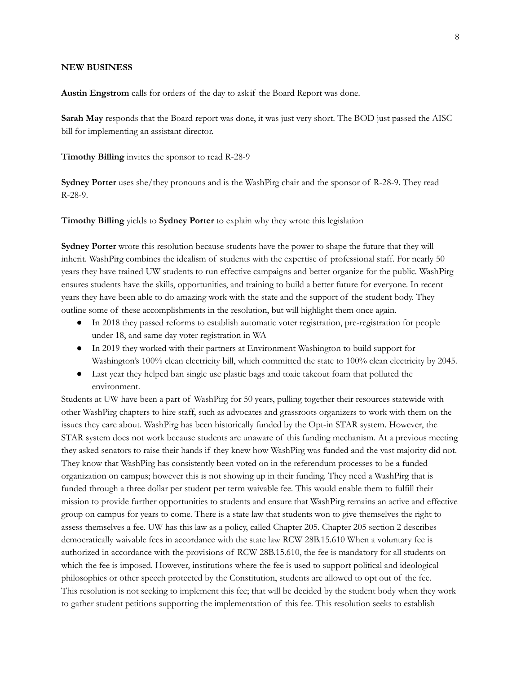#### **NEW BUSINESS**

**Austin Engstrom** calls for orders of the day to ask if the Board Report was done.

**Sarah May** responds that the Board report was done, it was just very short. The BOD just passed the AISC bill for implementing an assistant director.

**Timothy Billing** invites the sponsor to read R-28-9

**Sydney Porter** uses she/they pronouns and is the WashPirg chair and the sponsor of R-28-9. They read R-28-9.

**Timothy Billing** yields to **Sydney Porter** to explain why they wrote this legislation

**Sydney Porter** wrote this resolution because students have the power to shape the future that they will inherit. WashPirg combines the idealism of students with the expertise of professional staff. For nearly 50 years they have trained UW students to run effective campaigns and better organize for the public. WashPirg ensures students have the skills, opportunities, and training to build a better future for everyone. In recent years they have been able to do amazing work with the state and the support of the student body. They outline some of these accomplishments in the resolution, but will highlight them once again.

- In 2018 they passed reforms to establish automatic voter registration, pre-registration for people under 18, and same day voter registration in WA
- In 2019 they worked with their partners at Environment Washington to build support for Washington's 100% clean electricity bill, which committed the state to 100% clean electricity by 2045.
- Last year they helped ban single use plastic bags and toxic takeout foam that polluted the environment.

Students at UW have been a part of WashPirg for 50 years, pulling together their resources statewide with other WashPirg chapters to hire staff, such as advocates and grassroots organizers to work with them on the issues they care about. WashPirg has been historically funded by the Opt-in STAR system. However, the STAR system does not work because students are unaware of this funding mechanism. At a previous meeting they asked senators to raise their hands if they knew how WashPirg was funded and the vast majority did not. They know that WashPirg has consistently been voted on in the referendum processes to be a funded organization on campus; however this is not showing up in their funding. They need a WashPirg that is funded through a three dollar per student per term waivable fee. This would enable them to fulfill their mission to provide further opportunities to students and ensure that WashPirg remains an active and effective group on campus for years to come. There is a state law that students won to give themselves the right to assess themselves a fee. UW has this law as a policy, called Chapter 205. Chapter 205 section 2 describes democratically waivable fees in accordance with the state law RCW 28B.15.610 When a voluntary fee is authorized in accordance with the provisions of RCW 28B.15.610, the fee is mandatory for all students on which the fee is imposed. However, institutions where the fee is used to support political and ideological philosophies or other speech protected by the Constitution, students are allowed to opt out of the fee. This resolution is not seeking to implement this fee; that will be decided by the student body when they work to gather student petitions supporting the implementation of this fee. This resolution seeks to establish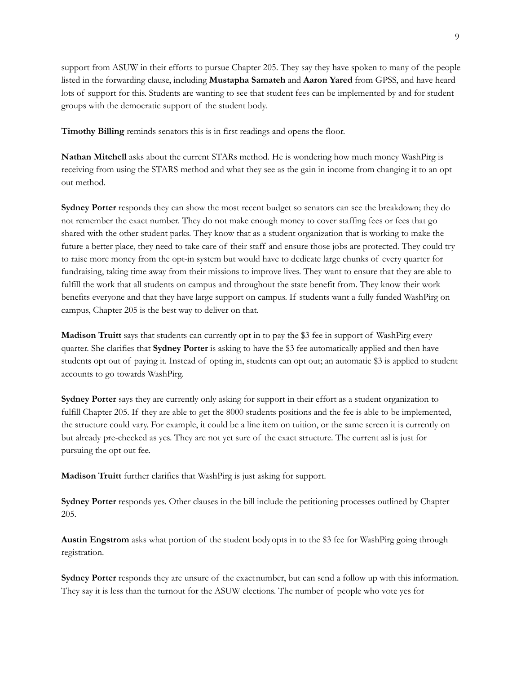support from ASUW in their efforts to pursue Chapter 205. They say they have spoken to many of the people listed in the forwarding clause, including **Mustapha Samateh** and **Aaron Yared** from GPSS, and have heard lots of support for this. Students are wanting to see that student fees can be implemented by and for student groups with the democratic support of the student body.

**Timothy Billing** reminds senators this is in first readings and opens the floor.

**Nathan Mitchell** asks about the current STARs method. He is wondering how much money WashPirg is receiving from using the STARS method and what they see as the gain in income from changing it to an opt out method.

**Sydney Porter** responds they can show the most recent budget so senators can see the breakdown; they do not remember the exact number. They do not make enough money to cover staffing fees or fees that go shared with the other student parks. They know that as a student organization that is working to make the future a better place, they need to take care of their staff and ensure those jobs are protected. They could try to raise more money from the opt-in system but would have to dedicate large chunks of every quarter for fundraising, taking time away from their missions to improve lives. They want to ensure that they are able to fulfill the work that all students on campus and throughout the state benefit from. They know their work benefits everyone and that they have large support on campus. If students want a fully funded WashPirg on campus, Chapter 205 is the best way to deliver on that.

**Madison Truitt** says that students can currently opt in to pay the \$3 fee in support of WashPirg every quarter. She clarifies that **Sydney Porter** is asking to have the \$3 fee automatically applied and then have students opt out of paying it. Instead of opting in, students can opt out; an automatic \$3 is applied to student accounts to go towards WashPirg.

**Sydney Porter** says they are currently only asking for support in their effort as a student organization to fulfill Chapter 205. If they are able to get the 8000 students positions and the fee is able to be implemented, the structure could vary. For example, it could be a line item on tuition, or the same screen it is currently on but already pre-checked as yes. They are not yet sure of the exact structure. The current asl is just for pursuing the opt out fee.

**Madison Truitt** further clarifies that WashPirg is just asking for support.

**Sydney Porter** responds yes. Other clauses in the bill include the petitioning processes outlined by Chapter 205.

**Austin Engstrom** asks what portion of the student bodyopts in to the \$3 fee for WashPirg going through registration.

**Sydney Porter** responds they are unsure of the exactnumber, but can send a follow up with this information. They say it is less than the turnout for the ASUW elections. The number of people who vote yes for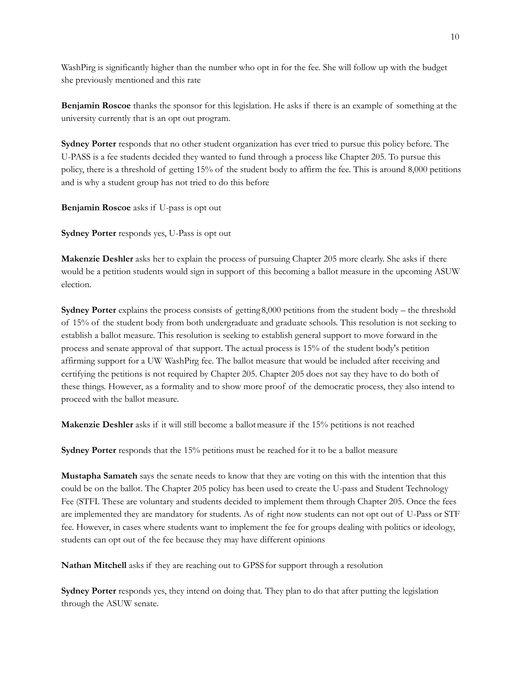WashPirg is significantly higher than the number who opt in for the fee. She will follow up with the budget she previously mentioned and this rate

**Benjamin Roscoe** thanks the sponsor for this legislation. He asks if there is an example of something at the university currently that is an opt out program.

**Sydney Porter** responds that no other student organization has ever tried to pursue this policy before. The U-PASS is a fee students decided they wanted to fund through a process like Chapter 205. To pursue this policy, there is a threshold of getting 15% of the student body to affirm the fee. This is around 8,000 petitions and is why a student group has not tried to do this before

**Benjamin Roscoe** asks if U-pass is opt out

**Sydney Porter** responds yes, U-Pass is opt out

**Makenzie Deshler** asks her to explain the process of pursuing Chapter 205 more clearly. She asks if there would be a petition students would sign in support of this becoming a ballot measure in the upcoming ASUW election.

**Sydney Porter** explains the process consists of getting 8,000 petitions from the student body – the threshold of 15% of the student body from both undergraduate and graduate schools. This resolution is not seeking to establish a ballot measure. This resolution is seeking to establish general support to move forward in the process and senate approval of that support. The actual process is 15% of the student body's petition affirming support for a UW WashPirg fee. The ballot measure that would be included after receiving and certifying the petitions is not required by Chapter 205. Chapter 205 does not say they have to do both of these things. However, as a formality and to show more proof of the democratic process, they also intend to proceed with the ballot measure.

**Makenzie Deshler** asks if it will still become a ballotmeasure if the 15% petitions is not reached

**Sydney Porter** responds that the 15% petitions must be reached for it to be a ballot measure

**Mustapha Samateh** says the senate needs to know that they are voting on this with the intention that this could be on the ballot. The Chapter 205 policy has been used to create the U-pass and Student Technology Fee (STFI. These are voluntary and students decided to implement them through Chapter 205. Once the fees are implemented they are mandatory for students. As of right now students can not opt out of U-Pass or STF fee. However, in cases where students want to implement the fee for groups dealing with politics or ideology, students can opt out of the fee because they may have different opinions

**Nathan Mitchell** asks if they are reaching out to GPSSfor support through a resolution

**Sydney Porter** responds yes, they intend on doing that. They plan to do that after putting the legislation through the ASUW senate.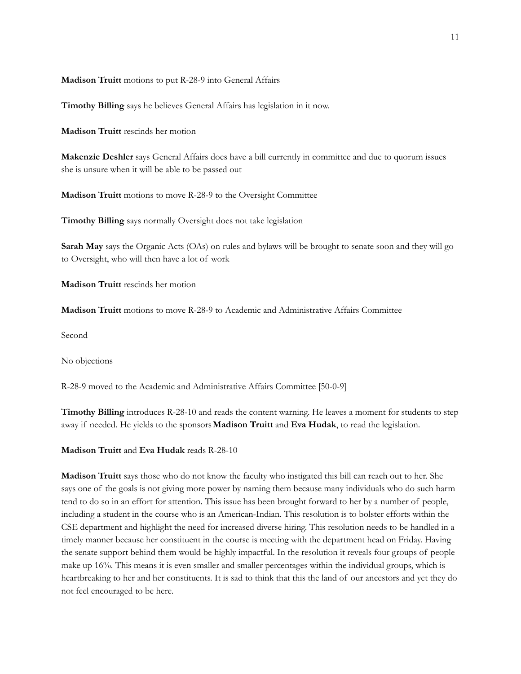**Madison Truitt** motions to put R-28-9 into General Affairs

**Timothy Billing** says he believes General Affairs has legislation in it now.

**Madison Truitt** rescinds her motion

**Makenzie Deshler** says General Affairs does have a bill currently in committee and due to quorum issues she is unsure when it will be able to be passed out

**Madison Truitt** motions to move R-28-9 to the Oversight Committee

**Timothy Billing** says normally Oversight does not take legislation

**Sarah May** says the Organic Acts (OAs) on rules and bylaws will be brought to senate soon and they will go to Oversight, who will then have a lot of work

**Madison Truitt** rescinds her motion

**Madison Truitt** motions to move R-28-9 to Academic and Administrative Affairs Committee

Second

No objections

R-28-9 moved to the Academic and Administrative Affairs Committee [50-0-9]

**Timothy Billing** introduces R-28-10 and reads the content warning. He leaves a moment for students to step away if needed. He yields to the sponsors**Madison Truitt** and **Eva Hudak**, to read the legislation.

**Madison Truitt** and **Eva Hudak** reads R-28-10

**Madison Truitt** says those who do not know the faculty who instigated this bill can reach out to her. She says one of the goals is not giving more power by naming them because many individuals who do such harm tend to do so in an effort for attention. This issue has been brought forward to her by a number of people, including a student in the course who is an American-Indian. This resolution is to bolster efforts within the CSE department and highlight the need for increased diverse hiring. This resolution needs to be handled in a timely manner because her constituent in the course is meeting with the department head on Friday. Having the senate support behind them would be highly impactful. In the resolution it reveals four groups of people make up 16%. This means it is even smaller and smaller percentages within the individual groups, which is heartbreaking to her and her constituents. It is sad to think that this the land of our ancestors and yet they do not feel encouraged to be here.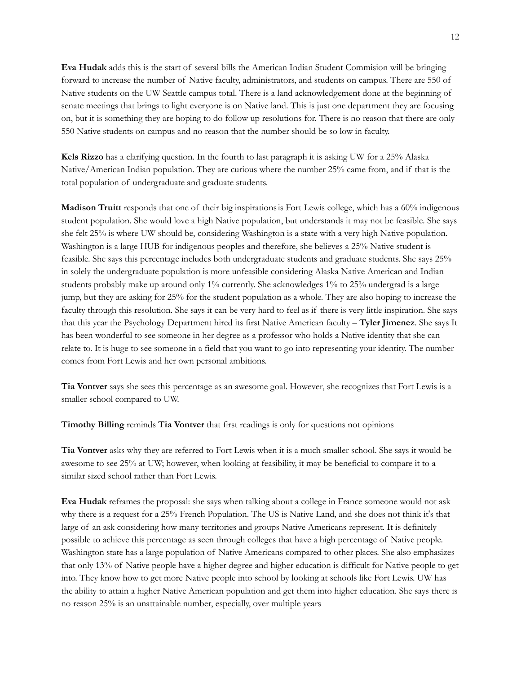**Eva Hudak** adds this is the start of several bills the American Indian Student Commision will be bringing forward to increase the number of Native faculty, administrators, and students on campus. There are 550 of Native students on the UW Seattle campus total. There is a land acknowledgement done at the beginning of senate meetings that brings to light everyone is on Native land. This is just one department they are focusing on, but it is something they are hoping to do follow up resolutions for. There is no reason that there are only 550 Native students on campus and no reason that the number should be so low in faculty.

**Kels Rizzo** has a clarifying question. In the fourth to last paragraph it is asking UW for a 25% Alaska Native/American Indian population. They are curious where the number 25% came from, and if that is the total population of undergraduate and graduate students.

**Madison Truitt** responds that one of their big inspirationsis Fort Lewis college, which has a 60% indigenous student population. She would love a high Native population, but understands it may not be feasible. She says she felt 25% is where UW should be, considering Washington is a state with a very high Native population. Washington is a large HUB for indigenous peoples and therefore, she believes a 25% Native student is feasible. She says this percentage includes both undergraduate students and graduate students. She says 25% in solely the undergraduate population is more unfeasible considering Alaska Native American and Indian students probably make up around only 1% currently. She acknowledges 1% to 25% undergrad is a large jump, but they are asking for 25% for the student population as a whole. They are also hoping to increase the faculty through this resolution. She says it can be very hard to feel as if there is very little inspiration. She says that this year the Psychology Department hired its first Native American faculty – **Tyler Jimenez**. She says It has been wonderful to see someone in her degree as a professor who holds a Native identity that she can relate to. It is huge to see someone in a field that you want to go into representing your identity. The number comes from Fort Lewis and her own personal ambitions.

**Tia Vontver** says she sees this percentage as an awesome goal. However, she recognizes that Fort Lewis is a smaller school compared to UW.

**Timothy Billing** reminds **Tia Vontver** that first readings is only for questions not opinions

**Tia Vontver** asks why they are referred to Fort Lewis when it is a much smaller school. She says it would be awesome to see 25% at UW; however, when looking at feasibility, it may be beneficial to compare it to a similar sized school rather than Fort Lewis.

**Eva Hudak** reframes the proposal: she says when talking about a college in France someone would not ask why there is a request for a 25% French Population. The US is Native Land, and she does not think it's that large of an ask considering how many territories and groups Native Americans represent. It is definitely possible to achieve this percentage as seen through colleges that have a high percentage of Native people. Washington state has a large population of Native Americans compared to other places. She also emphasizes that only 13% of Native people have a higher degree and higher education is difficult for Native people to get into. They know how to get more Native people into school by looking at schools like Fort Lewis. UW has the ability to attain a higher Native American population and get them into higher education. She says there is no reason 25% is an unattainable number, especially, over multiple years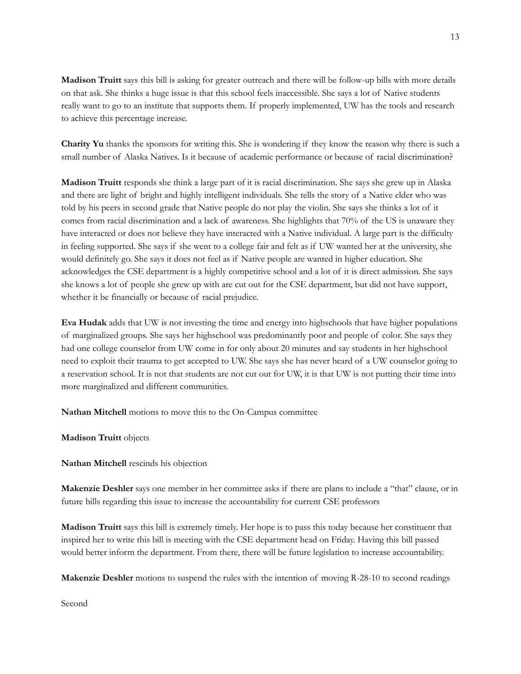**Madison Truitt** says this bill is asking for greater outreach and there will be follow-up bills with more details on that ask. She thinks a huge issue is that this school feels inaccessible. She says a lot of Native students really want to go to an institute that supports them. If properly implemented, UW has the tools and research to achieve this percentage increase.

**Charity Yu** thanks the sponsors for writing this. She is wondering if they know the reason why there is such a small number of Alaska Natives. Is it because of academic performance or because of racial discrimination?

**Madison Truitt** responds she think a large part of it is racial discrimination. She says she grew up in Alaska and there are light of bright and highly intelligent individuals. She tells the story of a Native elder who was told by his peers in second grade that Native people do not play the violin. She says she thinks a lot of it comes from racial discrimination and a lack of awareness. She highlights that 70% of the US is unaware they have interacted or does not believe they have interacted with a Native individual. A large part is the difficulty in feeling supported. She says if she went to a college fair and felt as if UW wanted her at the university, she would definitely go. She says it does not feel as if Native people are wanted in higher education. She acknowledges the CSE department is a highly competitive school and a lot of it is direct admission. She says she knows a lot of people she grew up with are cut out for the CSE department, but did not have support, whether it be financially or because of racial prejudice.

**Eva Hudak** adds that UW is not investing the time and energy into highschools that have higher populations of marginalized groups. She says her highschool was predominantly poor and people of color. She says they had one college counselor from UW come in for only about 20 minutes and say students in her highschool need to exploit their trauma to get accepted to UW. She says she has never heard of a UW counselor going to a reservation school. It is not that students are not cut out for UW, it is that UW is not putting their time into more marginalized and different communities.

**Nathan Mitchell** motions to move this to the On-Campus committee

**Madison Truitt** objects

**Nathan Mitchell** rescinds his objection

**Makenzie Deshler** says one member in her committee asks if there are plans to include a "that" clause, or in future bills regarding this issue to increase the accountability for current CSE professors

**Madison Truitt** says this bill is extremely timely. Her hope is to pass this today because her constituent that inspired her to write this bill is meeting with the CSE department head on Friday. Having this bill passed would better inform the department. From there, there will be future legislation to increase accountability.

**Makenzie Deshler** motions to suspend the rules with the intention of moving R-28-10 to second readings

Second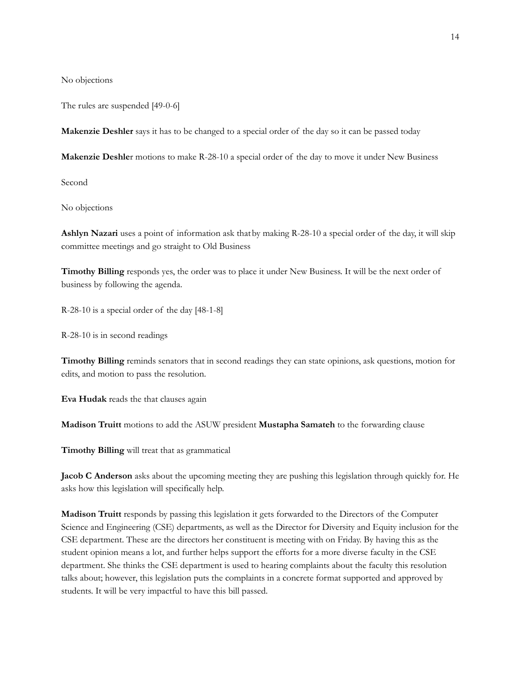No objections

The rules are suspended [49-0-6]

**Makenzie Deshler** says it has to be changed to a special order of the day so it can be passed today

**Makenzie Deshle**r motions to make R-28-10 a special order of the day to move it under New Business

Second

No objections

**Ashlyn Nazari** uses a point of information ask thatby making R-28-10 a special order of the day, it will skip committee meetings and go straight to Old Business

**Timothy Billing** responds yes, the order was to place it under New Business. It will be the next order of business by following the agenda.

R-28-10 is a special order of the day [48-1-8]

R-28-10 is in second readings

**Timothy Billing** reminds senators that in second readings they can state opinions, ask questions, motion for edits, and motion to pass the resolution.

**Eva Hudak** reads the that clauses again

**Madison Truitt** motions to add the ASUW president **Mustapha Samateh** to the forwarding clause

**Timothy Billing** will treat that as grammatical

**Jacob C Anderson** asks about the upcoming meeting they are pushing this legislation through quickly for. He asks how this legislation will specifically help.

**Madison Truitt** responds by passing this legislation it gets forwarded to the Directors of the Computer Science and Engineering (CSE) departments, as well as the Director for Diversity and Equity inclusion for the CSE department. These are the directors her constituent is meeting with on Friday. By having this as the student opinion means a lot, and further helps support the efforts for a more diverse faculty in the CSE department. She thinks the CSE department is used to hearing complaints about the faculty this resolution talks about; however, this legislation puts the complaints in a concrete format supported and approved by students. It will be very impactful to have this bill passed.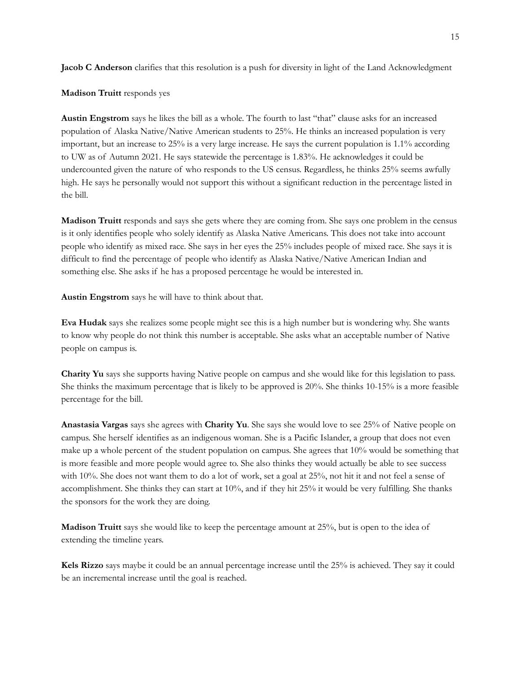**Jacob C Anderson** clarifies that this resolution is a push for diversity in light of the Land Acknowledgment

**Madison Truitt** responds yes

**Austin Engstrom** says he likes the bill as a whole. The fourth to last "that" clause asks for an increased population of Alaska Native/Native American students to 25%. He thinks an increased population is very important, but an increase to 25% is a very large increase. He says the current population is 1.1% according to UW as of Autumn 2021. He says statewide the percentage is 1.83%. He acknowledges it could be undercounted given the nature of who responds to the US census. Regardless, he thinks 25% seems awfully high. He says he personally would not support this without a significant reduction in the percentage listed in the bill.

**Madison Truitt** responds and says she gets where they are coming from. She says one problem in the census is it only identifies people who solely identify as Alaska Native Americans. This does not take into account people who identify as mixed race. She says in her eyes the 25% includes people of mixed race. She says it is difficult to find the percentage of people who identify as Alaska Native/Native American Indian and something else. She asks if he has a proposed percentage he would be interested in.

**Austin Engstrom** says he will have to think about that.

**Eva Hudak** says she realizes some people might see this is a high number but is wondering why. She wants to know why people do not think this number is acceptable. She asks what an acceptable number of Native people on campus is.

**Charity Yu** says she supports having Native people on campus and she would like for this legislation to pass. She thinks the maximum percentage that is likely to be approved is 20%. She thinks 10-15% is a more feasible percentage for the bill.

**Anastasia Vargas** says she agrees with **Charity Yu**. She says she would love to see 25% of Native people on campus. She herself identifies as an indigenous woman. She is a Pacific Islander, a group that does not even make up a whole percent of the student population on campus. She agrees that 10% would be something that is more feasible and more people would agree to. She also thinks they would actually be able to see success with 10%. She does not want them to do a lot of work, set a goal at 25%, not hit it and not feel a sense of accomplishment. She thinks they can start at 10%, and if they hit 25% it would be very fulfilling. She thanks the sponsors for the work they are doing.

**Madison Truitt** says she would like to keep the percentage amount at 25%, but is open to the idea of extending the timeline years.

**Kels Rizzo** says maybe it could be an annual percentage increase until the 25% is achieved. They say it could be an incremental increase until the goal is reached.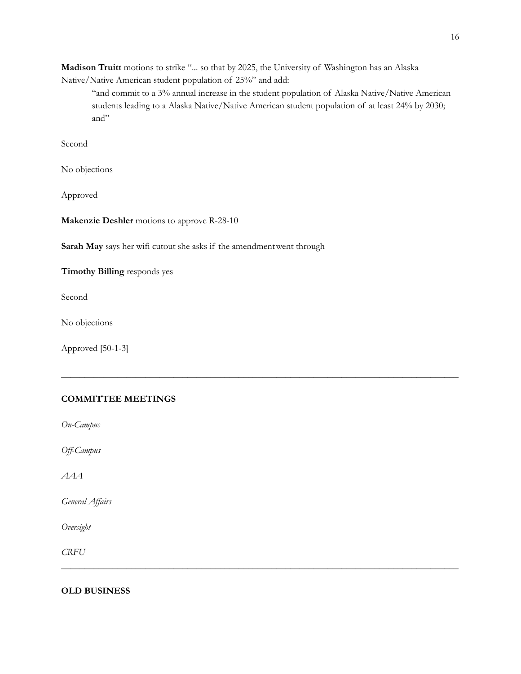**Madison Truitt** motions to strike "... so that by 2025, the University of Washington has an Alaska Native/Native American student population of 25%" and add:

"and commit to a 3% annual increase in the student population of Alaska Native/Native American students leading to a Alaska Native/Native American student population of at least 24% by 2030; and"

**\_\_\_\_\_\_\_\_\_\_\_\_\_\_\_\_\_\_\_\_\_\_\_\_\_\_\_\_\_\_\_\_\_\_\_\_\_\_\_\_\_\_\_\_\_\_\_\_\_\_\_\_\_\_\_\_\_\_\_\_\_\_\_\_\_\_\_\_\_\_\_\_\_\_\_\_\_\_\_\_\_\_\_\_\_**

**\_\_\_\_\_\_\_\_\_\_\_\_\_\_\_\_\_\_\_\_\_\_\_\_\_\_\_\_\_\_\_\_\_\_\_\_\_\_\_\_\_\_\_\_\_\_\_\_\_\_\_\_\_\_\_\_\_\_\_\_\_\_\_\_\_\_\_\_\_\_\_\_\_\_\_\_\_\_\_\_\_\_\_\_\_**

Second

No objections

Approved

**Makenzie Deshler** motions to approve R-28-10

**Sarah May** says her wifi cutout she asks if the amendmentwent through

**Timothy Billing** responds yes

Second

No objections

Approved [50-1-3]

## **COMMITTEE MEETINGS**

*On-Campus*

*Of -Campus*

*AAA*

*General Af airs*

*Oversight*

*CRFU*

# **OLD BUSINESS**